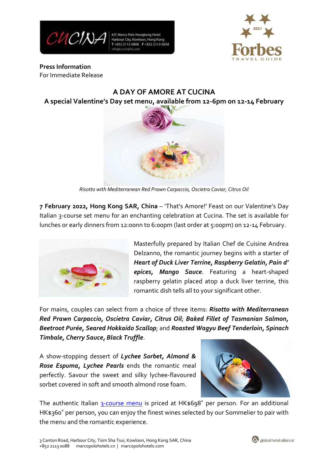

6/F, Marco Polo Hongkong Hotel Harbour City, Kowloon, Hong Kong T+852 2113-0808 F+852 2113-0038



**Press Information** For Immediate Release

# **A DAY OF AMORE AT CUCINA A special Valentine's Day set menu, available from 12-6pm on 12-14 February**



*Risotto with Mediterranean Red Prawn Carpaccio, Oscietra Caviar, Citrus Oil*

**7 February 2022, Hong Kong SAR, China** – 'That's Amore!' Feast on our Valentine's Day Italian 3-course set menu for an enchanting celebration at Cucina. The set is available for lunches or early dinners from 12:00nn to 6:00pm (last order at 5:00pm) on 12-14 February.



Masterfully prepared by Italian Chef de Cuisine Andrea Delzanno, the romantic journey begins with a starter of *Heart of Duck Liver Terrine, Raspberry Gelatin, Pain d' epices, Mango Sauce*. Featuring a heart-shaped raspberry gelatin placed atop a duck liver terrine, this romantic dish tells all to your significant other.

For mains, couples can select from a choice of three items: *Risotto with Mediterranean Red Prawn Carpaccio, Oscietra Caviar, Citrus Oil*; *Baked Fillet of Tasmanian Salmon, Beetroot Purée, Seared Hokkaido Scallop*; and *Roasted Wagyu Beef Tenderloin, Spinach Timbale, Cherry Sauce, Black Truffle*.

A show-stopping dessert of *Lychee Sorbet, Almond & Rose Espuma, Lychee Pearls* ends the romantic meal perfectly. Savour the sweet and silky lychee-flavoured sorbet covered in soft and smooth almond rose foam.



The authentic Italian [3-course](https://bit.ly/Cucina_ValentinesDay2022) menu is priced at HK\$698<sup>\*</sup> per person. For an additional HK\$360\* per person, you can enjoy the finest wines selected by our Sommelier to pair with the menu and the romantic experience.

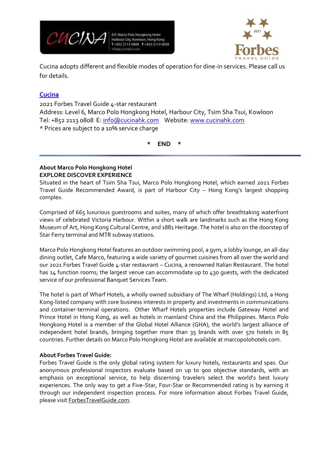

6/F, Marco Polo Hongkong Hotel Harbour City, Kowloon, Hong Kong +852 2113-0808 F+852 2113-0038



Cucina adopts different and flexible modes of operation for dine-in services. Please call us for details.

## **[Cucina](http://www.cucinahk.com/)**

2021 Forbes Travel Guide 4-star restaurant Address: Level 6, Marco Polo Hongkong Hotel, Harbour City, Tsim Sha Tsui, Kowloon Tel: +852 2113 0808 E: [info@cucinahk.com](mailto:info@cucinahk.com) Website: [www.cucinahk.com](http://www.cucinahk.com/) \* Prices are subject to a 10% service charge

**\* END \***

### **About Marco Polo Hongkong Hotel EXPLORE DISCOVER EXPERIENCE**

Situated in the heart of Tsim Sha Tsui, Marco Polo Hongkong Hotel, which earned 2021 Forbes Travel Guide Recommended Award, is part of Harbour City – Hong Kong's largest shopping complex.

Comprised of 665 luxurious guestrooms and suites, many of which offer breathtaking waterfront views of celebrated Victoria Harbour. Within a short walk are landmarks such as the Hong Kong Museum of Art, Hong Kong Cultural Centre, and 1881 Heritage. The hotel is also on the doorstep of Star Ferry terminal and MTR subway stations.

Marco Polo Hongkong Hotel features an outdoor swimming pool, a gym, a lobby lounge, an all-day dining outlet, Cafe Marco, featuring a wide variety of gourmet cuisines from all over the world and our 2021 Forbes Travel Guide 4-star restaurant – Cucina, a renowned Italian Restaurant. The hotel has 14 function rooms; the largest venue can accommodate up to 430 guests, with the dedicated service of our professional Banquet Services Team.

The hotel is part of Wharf Hotels, a wholly owned subsidiary of The Wharf (Holdings) Ltd, a Hong Kong-listed company with core business interests in property and investments in communications and container-terminal operations. Other Wharf Hotels properties include Gateway Hotel and Prince Hotel in Hong Kong, as well as hotels in mainland China and the Philippines. Marco Polo Hongkong Hotel is a member of the Global Hotel Alliance (GHA), the world's largest alliance of independent hotel brands, bringing together more than 35 brands with over 570 hotels in 85 countries. Further details on Marco Polo Hongkong Hotel are available at marcopolohotels.com.

### **About Forbes Travel Guide:**

Forbes Travel Guide is the only global rating system for luxury hotels, restaurants and spas. Our anonymous professional inspectors evaluate based on up to 900 objective standards, with an emphasis on exceptional service, to help discerning travelers select the world's best luxury experiences. The only way to get a Five-Star, Four-Star or Recommended rating is by earning it through our independent inspection process. For more information about Forbes Travel Guide, please visit [ForbesTravelGuide.com.](http://www.forbestravelguide.com/)